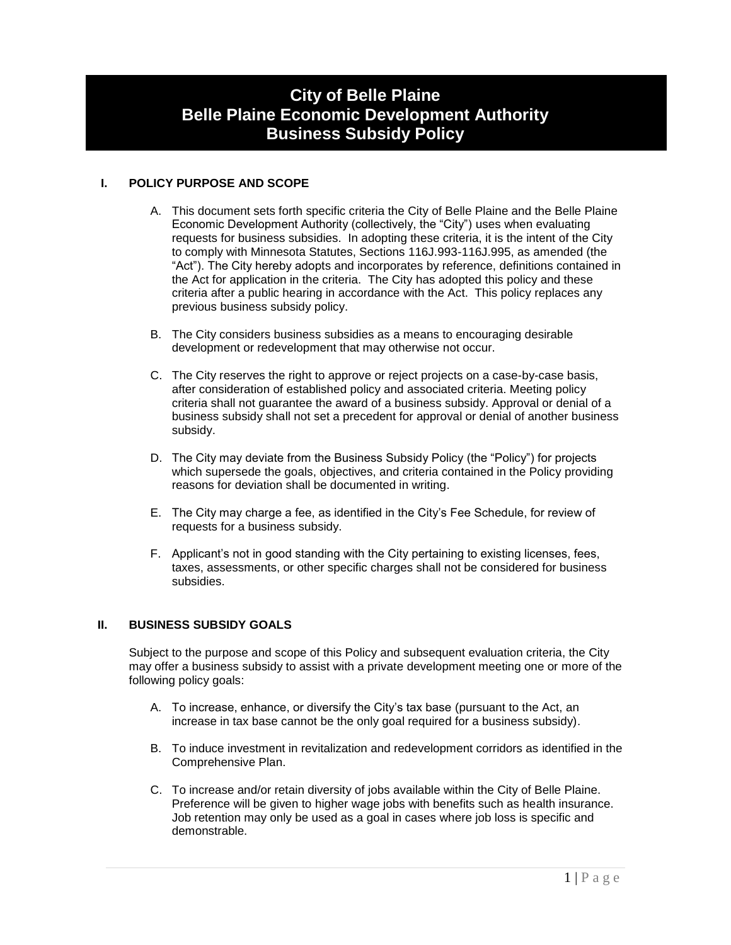# **City of Belle Plaine Belle Plaine Economic Development Authority Business Subsidy Policy**

# **I. POLICY PURPOSE AND SCOPE**

- A. This document sets forth specific criteria the City of Belle Plaine and the Belle Plaine Economic Development Authority (collectively, the "City") uses when evaluating requests for business subsidies. In adopting these criteria, it is the intent of the City to comply with Minnesota Statutes, Sections 116J.993-116J.995, as amended (the "Act"). The City hereby adopts and incorporates by reference, definitions contained in the Act for application in the criteria. The City has adopted this policy and these criteria after a public hearing in accordance with the Act. This policy replaces any previous business subsidy policy.
- B. The City considers business subsidies as a means to encouraging desirable development or redevelopment that may otherwise not occur.
- C. The City reserves the right to approve or reject projects on a case-by-case basis, after consideration of established policy and associated criteria. Meeting policy criteria shall not guarantee the award of a business subsidy. Approval or denial of a business subsidy shall not set a precedent for approval or denial of another business subsidy.
- D. The City may deviate from the Business Subsidy Policy (the "Policy") for projects which supersede the goals, objectives, and criteria contained in the Policy providing reasons for deviation shall be documented in writing.
- E. The City may charge a fee, as identified in the City's Fee Schedule, for review of requests for a business subsidy.
- F. Applicant's not in good standing with the City pertaining to existing licenses, fees, taxes, assessments, or other specific charges shall not be considered for business subsidies.

## **II. BUSINESS SUBSIDY GOALS**

Subject to the purpose and scope of this Policy and subsequent evaluation criteria, the City may offer a business subsidy to assist with a private development meeting one or more of the following policy goals:

- A. To increase, enhance, or diversify the City's tax base (pursuant to the Act, an increase in tax base cannot be the only goal required for a business subsidy).
- B. To induce investment in revitalization and redevelopment corridors as identified in the Comprehensive Plan.
- C. To increase and/or retain diversity of jobs available within the City of Belle Plaine. Preference will be given to higher wage jobs with benefits such as health insurance. Job retention may only be used as a goal in cases where job loss is specific and demonstrable.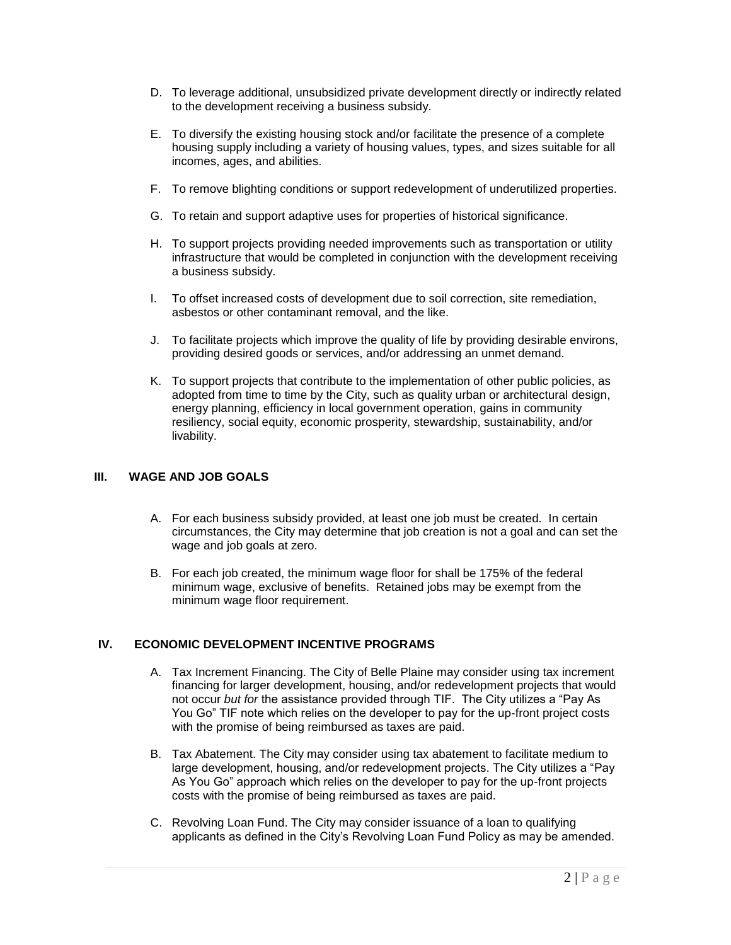- D. To leverage additional, unsubsidized private development directly or indirectly related to the development receiving a business subsidy.
- E. To diversify the existing housing stock and/or facilitate the presence of a complete housing supply including a variety of housing values, types, and sizes suitable for all incomes, ages, and abilities.
- F. To remove blighting conditions or support redevelopment of underutilized properties.
- G. To retain and support adaptive uses for properties of historical significance.
- H. To support projects providing needed improvements such as transportation or utility infrastructure that would be completed in conjunction with the development receiving a business subsidy.
- I. To offset increased costs of development due to soil correction, site remediation, asbestos or other contaminant removal, and the like.
- J. To facilitate projects which improve the quality of life by providing desirable environs, providing desired goods or services, and/or addressing an unmet demand.
- K. To support projects that contribute to the implementation of other public policies, as adopted from time to time by the City, such as quality urban or architectural design, energy planning, efficiency in local government operation, gains in community resiliency, social equity, economic prosperity, stewardship, sustainability, and/or livability.

#### **III. WAGE AND JOB GOALS**

- A. For each business subsidy provided, at least one job must be created. In certain circumstances, the City may determine that job creation is not a goal and can set the wage and job goals at zero.
- B. For each job created, the minimum wage floor for shall be 175% of the federal minimum wage, exclusive of benefits. Retained jobs may be exempt from the minimum wage floor requirement.

## **IV. ECONOMIC DEVELOPMENT INCENTIVE PROGRAMS**

- A. Tax Increment Financing. The City of Belle Plaine may consider using tax increment financing for larger development, housing, and/or redevelopment projects that would not occur *but for* the assistance provided through TIF. The City utilizes a "Pay As You Go" TIF note which relies on the developer to pay for the up-front project costs with the promise of being reimbursed as taxes are paid.
- B. Tax Abatement. The City may consider using tax abatement to facilitate medium to large development, housing, and/or redevelopment projects. The City utilizes a "Pay As You Go" approach which relies on the developer to pay for the up-front projects costs with the promise of being reimbursed as taxes are paid.
- C. Revolving Loan Fund. The City may consider issuance of a loan to qualifying applicants as defined in the City's Revolving Loan Fund Policy as may be amended.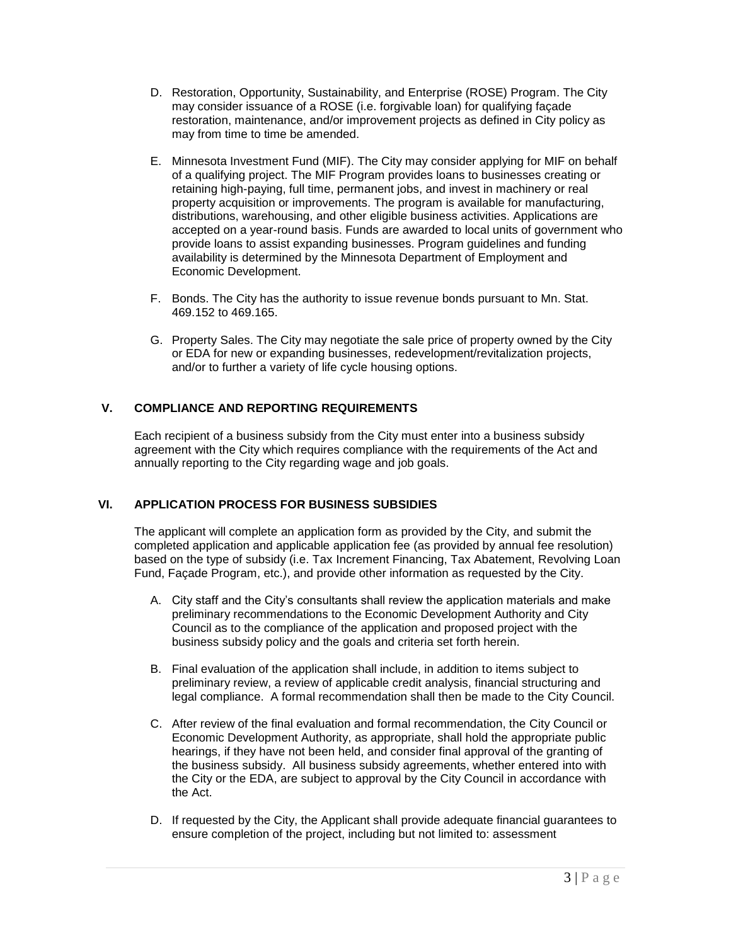- D. Restoration, Opportunity, Sustainability, and Enterprise (ROSE) Program. The City may consider issuance of a ROSE (i.e. forgivable loan) for qualifying façade restoration, maintenance, and/or improvement projects as defined in City policy as may from time to time be amended.
- E. Minnesota Investment Fund (MIF). The City may consider applying for MIF on behalf of a qualifying project. The MIF Program provides loans to businesses creating or retaining high-paying, full time, permanent jobs, and invest in machinery or real property acquisition or improvements. The program is available for manufacturing, distributions, warehousing, and other eligible business activities. Applications are accepted on a year-round basis. Funds are awarded to local units of government who provide loans to assist expanding businesses. Program guidelines and funding availability is determined by the Minnesota Department of Employment and Economic Development.
- F. Bonds. The City has the authority to issue revenue bonds pursuant to Mn. Stat. 469.152 to 469.165.
- G. Property Sales. The City may negotiate the sale price of property owned by the City or EDA for new or expanding businesses, redevelopment/revitalization projects, and/or to further a variety of life cycle housing options.

# **V. COMPLIANCE AND REPORTING REQUIREMENTS**

Each recipient of a business subsidy from the City must enter into a business subsidy agreement with the City which requires compliance with the requirements of the Act and annually reporting to the City regarding wage and job goals.

# **VI. APPLICATION PROCESS FOR BUSINESS SUBSIDIES**

The applicant will complete an application form as provided by the City, and submit the completed application and applicable application fee (as provided by annual fee resolution) based on the type of subsidy (i.e. Tax Increment Financing, Tax Abatement, Revolving Loan Fund, Façade Program, etc.), and provide other information as requested by the City.

- A. City staff and the City's consultants shall review the application materials and make preliminary recommendations to the Economic Development Authority and City Council as to the compliance of the application and proposed project with the business subsidy policy and the goals and criteria set forth herein.
- B. Final evaluation of the application shall include, in addition to items subject to preliminary review, a review of applicable credit analysis, financial structuring and legal compliance. A formal recommendation shall then be made to the City Council.
- C. After review of the final evaluation and formal recommendation, the City Council or Economic Development Authority, as appropriate, shall hold the appropriate public hearings, if they have not been held, and consider final approval of the granting of the business subsidy. All business subsidy agreements, whether entered into with the City or the EDA, are subject to approval by the City Council in accordance with the Act.
- D. If requested by the City, the Applicant shall provide adequate financial guarantees to ensure completion of the project, including but not limited to: assessment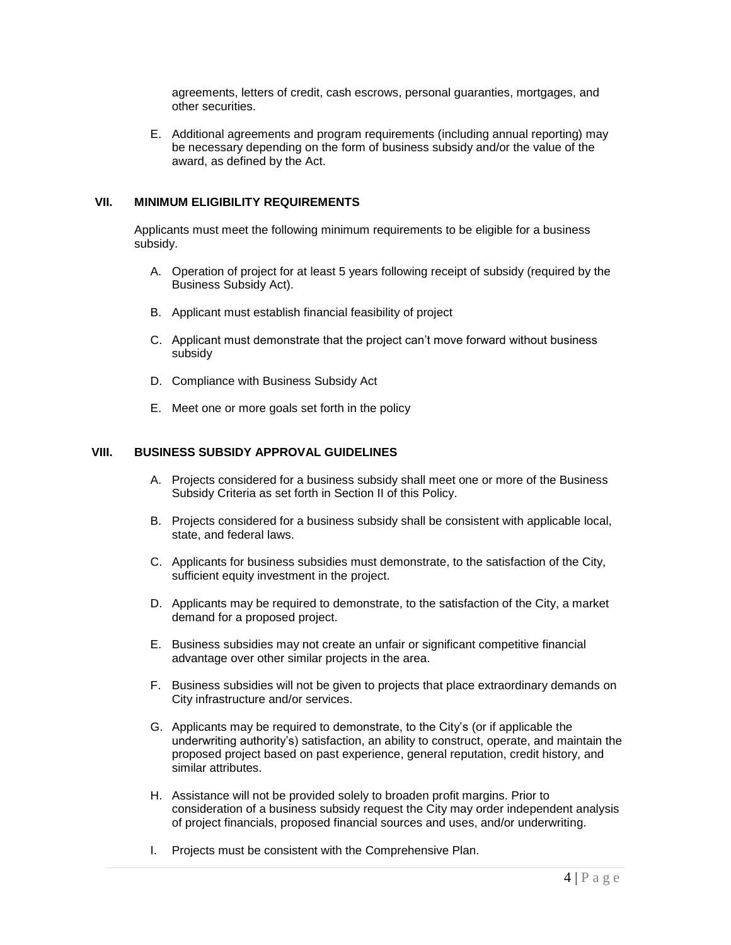agreements, letters of credit, cash escrows, personal guaranties, mortgages, and other securities.

E. Additional agreements and program requirements (including annual reporting) may be necessary depending on the form of business subsidy and/or the value of the award, as defined by the Act.

### **VII. MINIMUM ELIGIBILITY REQUIREMENTS**

Applicants must meet the following minimum requirements to be eligible for a business subsidy.

- A. Operation of project for at least 5 years following receipt of subsidy (required by the Business Subsidy Act).
- B. Applicant must establish financial feasibility of project
- C. Applicant must demonstrate that the project can't move forward without business subsidy
- D. Compliance with Business Subsidy Act
- E. Meet one or more goals set forth in the policy

#### **VIII. BUSINESS SUBSIDY APPROVAL GUIDELINES**

- A. Projects considered for a business subsidy shall meet one or more of the Business Subsidy Criteria as set forth in Section II of this Policy.
- B. Projects considered for a business subsidy shall be consistent with applicable local, state, and federal laws.
- C. Applicants for business subsidies must demonstrate, to the satisfaction of the City, sufficient equity investment in the project.
- D. Applicants may be required to demonstrate, to the satisfaction of the City, a market demand for a proposed project.
- E. Business subsidies may not create an unfair or significant competitive financial advantage over other similar projects in the area.
- F. Business subsidies will not be given to projects that place extraordinary demands on City infrastructure and/or services.
- G. Applicants may be required to demonstrate, to the City's (or if applicable the underwriting authority's) satisfaction, an ability to construct, operate, and maintain the proposed project based on past experience, general reputation, credit history, and similar attributes.
- H. Assistance will not be provided solely to broaden profit margins. Prior to consideration of a business subsidy request the City may order independent analysis of project financials, proposed financial sources and uses, and/or underwriting.
- I. Projects must be consistent with the Comprehensive Plan.